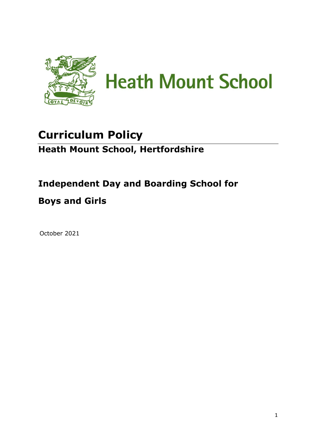

# **Curriculum Policy Heath Mount School, Hertfordshire**

# **Independent Day and Boarding School for**

# **Boys and Girls**

October 2021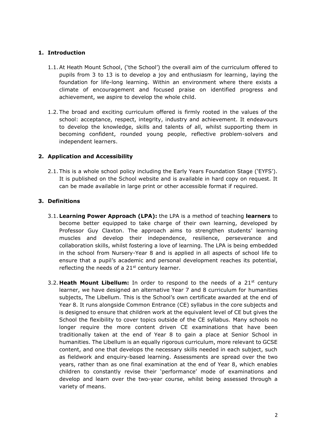# **1. Introduction**

- 1.1.At Heath Mount School, ('the School') the overall aim of the curriculum offered to pupils from 3 to 13 is to develop a joy and enthusiasm for learning, laying the foundation for life-long learning. Within an environment where there exists a climate of encouragement and focused praise on identified progress and achievement, we aspire to develop the whole child.
- 1.2. The broad and exciting curriculum offered is firmly rooted in the values of the school: acceptance, respect, integrity, industry and achievement. It endeavours to develop the knowledge, skills and talents of all, whilst supporting them in becoming confident, rounded young people, reflective problem-solvers and independent learners.

# **2. Application and Accessibility**

2.1. This is a whole school policy including the Early Years Foundation Stage ('EYFS'). It is published on the School website and is available in hard copy on request. It can be made available in large print or other accessible format if required.

# **3. Definitions**

- 3.1. **Learning Power Approach (LPA):** the LPA is a method of teaching **learners** to become better equipped to take charge of their own learning, developed by Professor Guy Claxton. The approach aims to strengthen students' learning muscles and develop their independence, resilience, perseverance and collaboration skills, whilst fostering a love of learning. The LPA is being embedded in the school from Nursery-Year 8 and is applied in all aspects of school life to ensure that a pupil's academic and personal development reaches its potential, reflecting the needs of a  $21<sup>st</sup>$  century learner.
- 3.2. **Heath Mount Libellum:** In order to respond to the needs of a  $21<sup>st</sup>$  century learner, we have designed an alternative Year 7 and 8 curriculum for humanities subjects, The Libellum. This is the School's own certificate awarded at the end of Year 8. It runs alongside Common Entrance (CE) syllabus in the core subjects and is designed to ensure that children work at the equivalent level of CE but gives the School the flexibility to cover topics outside of the CE syllabus. Many schools no longer require the more content driven CE examinations that have been traditionally taken at the end of Year 8 to gain a place at Senior School in humanities. The Libellum is an equally rigorous curriculum, more relevant to GCSE content, and one that develops the necessary skills needed in each subject, such as fieldwork and enquiry-based learning. Assessments are spread over the two years, rather than as one final examination at the end of Year 8, which enables children to constantly revise their 'performance' mode of examinations and develop and learn over the two-year course, whilst being assessed through a variety of means.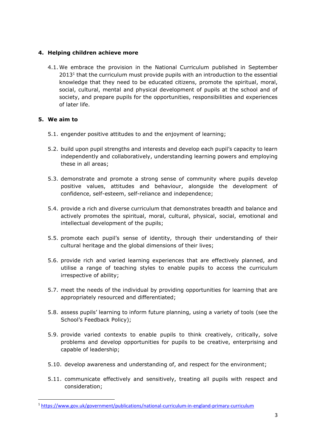# **4. Helping children achieve more**

4.1. We embrace the provision in the National Curriculum published in September  $2013<sup>1</sup>$  that the curriculum must provide pupils with an introduction to the essential knowledge that they need to be educated citizens, promote the spiritual, moral, social, cultural, mental and physical development of pupils at the school and of society, and prepare pupils for the opportunities, responsibilities and experiences of later life.

# **5. We aim to**

- 5.1. engender positive attitudes to and the enjoyment of learning;
- 5.2. build upon pupil strengths and interests and develop each pupil's capacity to learn independently and collaboratively, understanding learning powers and employing these in all areas;
- 5.3. demonstrate and promote a strong sense of community where pupils develop positive values, attitudes and behaviour, alongside the development of confidence, self-esteem, self-reliance and independence;
- 5.4. provide a rich and diverse curriculum that demonstrates breadth and balance and actively promotes the spiritual, moral, cultural, physical, social, emotional and intellectual development of the pupils;
- 5.5. promote each pupil's sense of identity, through their understanding of their cultural heritage and the global dimensions of their lives;
- 5.6. provide rich and varied learning experiences that are effectively planned, and utilise a range of teaching styles to enable pupils to access the curriculum irrespective of ability;
- 5.7. meet the needs of the individual by providing opportunities for learning that are appropriately resourced and differentiated;
- 5.8. assess pupils' learning to inform future planning, using a variety of tools (see the School's Feedback Policy);
- 5.9. provide varied contexts to enable pupils to think creatively, critically, solve problems and develop opportunities for pupils to be creative, enterprising and capable of leadership;
- 5.10. develop awareness and understanding of, and respect for the environment;
- 5.11. communicate effectively and sensitively, treating all pupils with respect and consideration;

<sup>1</sup> <https://www.gov.uk/government/publications/national-curriculum-in-england-primary-curriculum>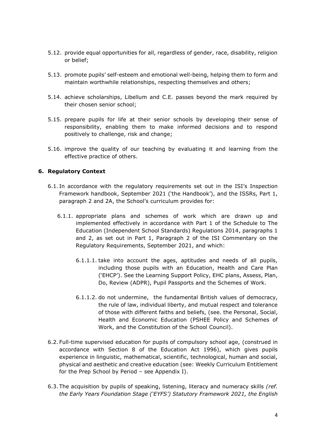- 5.12. provide equal opportunities for all, regardless of gender, race, disability, religion or belief;
- 5.13. promote pupils' self-esteem and emotional well-being, helping them to form and maintain worthwhile relationships, respecting themselves and others;
- 5.14. achieve scholarships, Libellum and C.E. passes beyond the mark required by their chosen senior school;
- 5.15. prepare pupils for life at their senior schools by developing their sense of responsibility, enabling them to make informed decisions and to respond positively to challenge, risk and change;
- 5.16. improve the quality of our teaching by evaluating it and learning from the effective practice of others.

#### **6. Regulatory Context**

- 6.1. In accordance with the regulatory requirements set out in the ISI's Inspection Framework handbook, September 2021 ('the Handbook'), and the ISSRs, Part 1, paragraph 2 and 2A, the School's curriculum provides for:
	- 6.1.1. appropriate plans and schemes of work which are drawn up and implemented effectively in accordance with Part 1 of the Schedule to The Education (Independent School Standards) Regulations 2014, paragraphs 1 and 2, as set out in Part 1, Paragraph 2 of the ISI Commentary on the Regulatory Requirements, September 2021, and which:
		- 6.1.1.1. take into account the ages, aptitudes and needs of all pupils, including those pupils with an Education, Health and Care Plan ('EHCP'). See the Learning Support Policy, EHC plans, Assess, Plan, Do, Review (ADPR), Pupil Passports and the Schemes of Work.
		- 6.1.1.2. do not undermine, the fundamental British values of democracy, the rule of law, individual liberty, and mutual respect and tolerance of those with different faiths and beliefs, (see. the Personal, Social, Health and Economic Education (PSHEE Policy and Schemes of Work, and the Constitution of the School Council).
- 6.2. Full-time supervised education for pupils of compulsory school age, (construed in accordance with Section 8 of the Education Act 1996), which gives pupils experience in linguistic, mathematical, scientific, technological, human and social, physical and aesthetic and creative education (see: Weekly Curriculum Entitlement for the Prep School by Period – see Appendix I).
- 6.3. The acquisition by pupils of speaking, listening, literacy and numeracy skills *(ref. the Early Years Foundation Stage ('EYFS') Statutory Framework 2021, the English*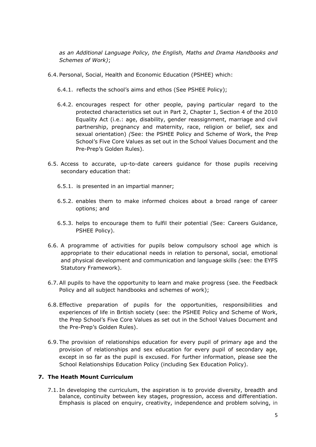*as an Additional Language Policy, the English, Maths and Drama Handbooks and Schemes of Work)*;

- 6.4. Personal, Social, Health and Economic Education (PSHEE) which:
	- 6.4.1. reflects the school's aims and ethos (See PSHEE Policy);
	- 6.4.2. encourages respect for other people, paying particular regard to the protected characteristics set out in Part 2, Chapter 1, Section 4 of the 2010 Equality Act (i.e.: age, disability, gender reassignment, marriage and civil partnership, pregnancy and maternity, race, religion or belief, sex and sexual orientation) *(*See: the PSHEE Policy and Scheme of Work, the Prep School's Five Core Values as set out in the School Values Document and the Pre-Prep's Golden Rules).
- 6.5. Access to accurate, up-to-date careers guidance for those pupils receiving secondary education that:
	- 6.5.1. is presented in an impartial manner;
	- 6.5.2. enables them to make informed choices about a broad range of career options; and
	- 6.5.3. helps to encourage them to fulfil their potential *(*See: Careers Guidance, PSHEE Policy).
- 6.6. A programme of activities for pupils below compulsory school age which is appropriate to their educational needs in relation to personal, social, emotional and physical development and communication and language skills *(*see: the EYFS Statutory Framework).
- 6.7.All pupils to have the opportunity to learn and make progress (see. the Feedback Policy and all subject handbooks and schemes of work);
- 6.8. Effective preparation of pupils for the opportunities, responsibilities and experiences of life in British society (see: the PSHEE Policy and Scheme of Work, the Prep School's Five Core Values as set out in the School Values Document and the Pre-Prep's Golden Rules).
- 6.9. The provision of relationships education for every pupil of primary age and the provision of relationships and sex education for every pupil of secondary age, except in so far as the pupil is excused. For further information, please see the School Relationships Education Policy (including Sex Education Policy).

#### **7. The Heath Mount Curriculum**

7.1. In developing the curriculum, the aspiration is to provide diversity, breadth and balance, continuity between key stages, progression, access and differentiation. Emphasis is placed on enquiry, creativity, independence and problem solving, in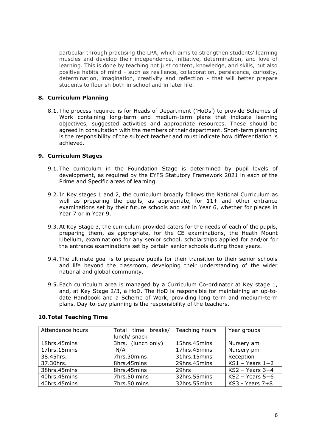particular through practising the LPA, which aims to strengthen students' learning muscles and develop their independence, initiative, determination, and love of learning. This is done by teaching not just content, knowledge, and skills, but also positive habits of mind - such as resilience, collaboration, persistence, curiosity, determination, imagination, creativity and reflection - that will better prepare students to flourish both in school and in later life.

### **8. Curriculum Planning**

8.1. The process required is for Heads of Department ('HoDs') to provide Schemes of Work containing long-term and medium-term plans that indicate learning objectives, suggested activities and appropriate resources. These should be agreed in consultation with the members of their department. Short-term planning is the responsibility of the subject teacher and must indicate how differentiation is achieved.

#### **9. Curriculum Stages**

- 9.1. The curriculum in the Foundation Stage is determined by pupil levels of development, as required by the EYFS Statutory Framework 2021 in each of the Prime and Specific areas of learning.
- 9.2. In Key stages 1 and 2, the curriculum broadly follows the National Curriculum as well as preparing the pupils, as appropriate, for  $11+$  and other entrance examinations set by their future schools and sat in Year 6, whether for places in Year 7 or in Year 9.
- 9.3.At Key Stage 3, the curriculum provided caters for the needs of each of the pupils, preparing them, as appropriate, for the CE examinations, the Heath Mount Libellum, examinations for any senior school, scholarships applied for and/or for the entrance examinations set by certain senior schools during those years.
- 9.4. The ultimate goal is to prepare pupils for their transition to their senior schools and life beyond the classroom, developing their understanding of the wider national and global community.
- 9.5. Each curriculum area is managed by a Curriculum Co-ordinator at Key stage 1, and, at Key Stage 2/3, a HoD. The HoD is responsible for maintaining an up-todate Handbook and a Scheme of Work, providing long term and medium-term plans. Day-to-day planning is the responsibility of the teachers.

| Attendance hours | Total time breaks/<br>lunch/ snack | Teaching hours | Year groups       |
|------------------|------------------------------------|----------------|-------------------|
| 18hrs.45mins     | 3hrs. (lunch only)                 | 15hrs.45mins   | Nursery am        |
| 17hrs.15mins     | N/A                                | 17hrs.45mins   | Nursery pm        |
| 38.45hrs.        | 7hrs.30mins                        | 31hrs.15mins   | Reception         |
| 37.30hrs.        | 8hrs.45mins                        | 29hrs.45mins   | $KS1 - Years 1+2$ |
| 38hrs.45mins     | 8hrs.45mins                        | 29hrs          | $KS2 - Years 3+4$ |
| 40hrs.45mins     | 7hrs.50 mins                       | 32hrs.55mins   | $KS2 - Years 5+6$ |
| 40hrs.45mins     | 7hrs.50 mins                       | 32hrs.55mins   | $KS3 - Years 7+8$ |

#### **10.Total Teaching Time**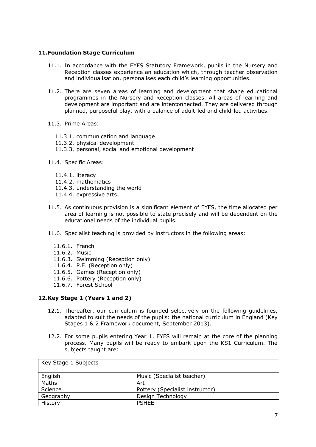## **11.Foundation Stage Curriculum**

- 11.1. In accordance with the EYFS Statutory Framework, pupils in the Nursery and Reception classes experience an education which, through teacher observation and individualisation, personalises each child's learning opportunities.
- 11.2. There are seven areas of learning and development that shape educational programmes in the Nursery and Reception classes. All areas of learning and development are important and are interconnected. They are delivered through planned, purposeful play, with a balance of adult-led and child-led activities.
- 11.3. Prime Areas:
	- 11.3.1. communication and language
	- 11.3.2. physical development
	- 11.3.3. personal, social and emotional development
- 11.4. Specific Areas:
	- 11.4.1. literacy
	- 11.4.2. mathematics
	- 11.4.3. understanding the world
	- 11.4.4. expressive arts.
- 11.5. As continuous provision is a significant element of EYFS, the time allocated per area of learning is not possible to state precisely and will be dependent on the educational needs of the individual pupils.
- 11.6. Specialist teaching is provided by instructors in the following areas:
	- 11.6.1. French
	- 11.6.2. Music
	- 11.6.3. Swimming (Reception only)
	- 11.6.4. P.E. (Reception only)
	- 11.6.5. Games (Reception only)
	- 11.6.6. Pottery (Reception only)
	- 11.6.7. Forest School

## **12.Key Stage 1 (Years 1 and 2)**

- 12.1. Thereafter, our curriculum is founded selectively on the following guidelines, adapted to suit the needs of the pupils: the national curriculum in England (Key Stages 1 & 2 Framework document, September 2013).
- 12.2. For some pupils entering Year 1, EYFS will remain at the core of the planning process. Many pupils will be ready to embark upon the KS1 Curriculum. The subjects taught are:

| Key Stage 1 Subjects |                                 |
|----------------------|---------------------------------|
|                      |                                 |
| English              | Music (Specialist teacher)      |
| Maths                | Art                             |
| Science              | Pottery (Specialist instructor) |
| Geography            | Design Technology               |
| History              | <b>PSHEE</b>                    |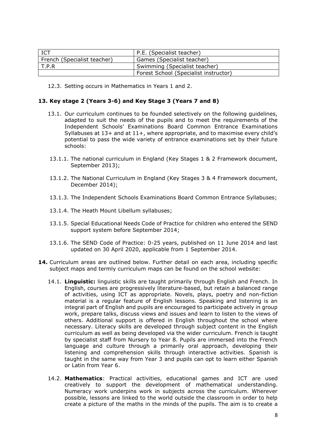|                             | P.E. (Specialist teacher)             |
|-----------------------------|---------------------------------------|
| French (Specialist teacher) | Games (Specialist teacher)            |
| T.P.R                       | Swimming (Specialist teacher)         |
|                             | Forest School (Specialist instructor) |

12.3. Setting occurs in Mathematics in Years 1 and 2.

#### **13. Key stage 2 (Years 3-6) and Key Stage 3 (Years 7 and 8)**

- 13.1. Our curriculum continues to be founded selectively on the following guidelines, adapted to suit the needs of the pupils and to meet the requirements of the Independent Schools' Examinations Board Common Entrance Examinations Syllabuses at 13+ and at 11+, where appropriate, and to maximise every child's potential to pass the wide variety of entrance examinations set by their future schools:
- 13.1.1. The national curriculum in England (Key Stages 1 & 2 Framework document, September 2013);
- 13.1.2. The National Curriculum in England (Key Stages 3 & 4 Framework document, December 2014);
- 13.1.3. The Independent Schools Examinations Board Common Entrance Syllabuses;
- 13.1.4. The Heath Mount Libellum syllabuses;
- 13.1.5. Special Educational Needs Code of Practice for children who entered the SEND support system before September 2014;
- 13.1.6. The SEND Code of Practice: 0-25 years, published on 11 June 2014 and last updated on 30 April 2020, applicable from 1 September 2014.
- **14.** Curriculum areas are outlined below. Further detail on each area, including specific subject maps and termly curriculum maps can be found on the school website:
	- 14.1. **Linguistic:** linguistic skills are taught primarily through English and French. In English, courses are progressively literature-based, but retain a balanced range of activities, using ICT as appropriate. Novels, plays, poetry and non-fiction material is a regular feature of English lessons. Speaking and listening is an integral part of English and pupils are encouraged to participate actively in group work, prepare talks, discuss views and issues and learn to listen to the views of others. Additional support is offered in English throughout the school where necessary. Literacy skills are developed through subject content in the English curriculum as well as being developed via the wider curriculum. French is taught by specialist staff from Nursery to Year 8. Pupils are immersed into the French language and culture through a primarily oral approach, developing their listening and comprehension skills through interactive activities. Spanish is taught in the same way from Year 3 and pupils can opt to learn either Spanish or Latin from Year 6.
	- 14.2. **Mathematics**: Practical activities, educational games and ICT are used creatively to support the development of mathematical understanding. Numeracy work underpins work in subjects across the curriculum. Wherever possible, lessons are linked to the world outside the classroom in order to help create a picture of the maths in the minds of the pupils. The aim is to create a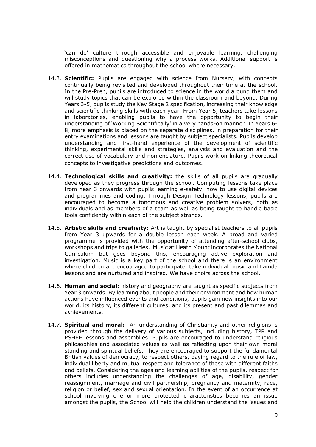'can do' culture through accessible and enjoyable learning, challenging misconceptions and questioning why a process works. Additional support is offered in mathematics throughout the school where necessary.

- 14.3. **Scientific:** Pupils are engaged with science from Nursery, with concepts continually being revisited and developed throughout their time at the school. In the Pre-Prep, pupils are introduced to science in the world around them and will study topics that can be explored within the classroom and beyond. During Years 3-5, pupils study the Key Stage 2 specification, increasing their knowledge and scientific thinking skills with each year. From Year 5, teachers take lessons in laboratories, enabling pupils to have the opportunity to begin their understanding of 'Working Scientifically' in a very hands-on manner. In Years 6- 8, more emphasis is placed on the separate disciplines, in preparation for their entry examinations and lessons are taught by subject specialists. Pupils develop understanding and first-hand experience of the development of scientific thinking, experimental skills and strategies, analysis and evaluation and the correct use of vocabulary and nomenclature. Pupils work on linking theoretical concepts to investigative predictions and outcomes.
- 14.4. **Technological skills and creativity:** the skills of all pupils are gradually developed as they progress through the school. Computing lessons take place from Year 3 onwards with pupils learning e-safety, how to use digital devices and programmes and coding. Through Design Technology lessons, pupils are encouraged to become autonomous and creative problem solvers, both as individuals and as members of a team as well as being taught to handle basic tools confidently within each of the subject strands.
- 14.5. **Artistic skills and creativity:** Art is taught by specialist teachers to all pupils from Year 3 upwards for a double lesson each week. A broad and varied programme is provided with the opportunity of attending after-school clubs, workshops and trips to galleries. Music at Heath Mount incorporates the National Curriculum but goes beyond this, encouraging active exploration and investigation. Music is a key part of the school and there is an environment where children are encouraged to participate, take individual music and Lamda lessons and are nurtured and inspired. We have choirs across the school.
- 14.6. **Human and social:** history and geography are taught as specific subjects from Year 3 onwards. By learning about people and their environment and how human actions have influenced events and conditions, pupils gain new insights into our world, its history, its different cultures, and its present and past dilemmas and achievements.
- 14.7. **Spiritual and moral:** An understanding of Christianity and other religions is provided through the delivery of various subjects, including history, TPR and PSHEE lessons and assemblies. Pupils are encouraged to understand religious philosophies and associated values as well as reflecting upon their own moral standing and spiritual beliefs. They are encouraged to support the fundamental British values of democracy, to respect others, paying regard to the rule of law, individual liberty and mutual respect and tolerance of those with different faiths and beliefs. Considering the ages and learning abilities of the pupils, respect for others includes understanding the challenges of age, disability, gender reassignment, marriage and civil partnership, pregnancy and maternity, race, religion or belief, sex and sexual orientation. In the event of an occurrence at school involving one or more protected characteristics becomes an issue amongst the pupils, the School will help the children understand the issues and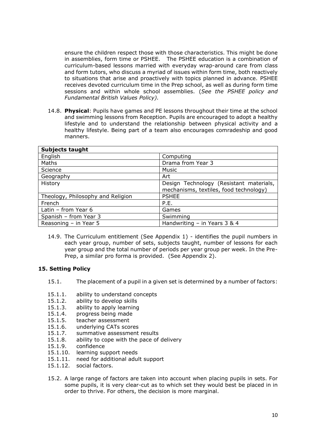ensure the children respect those with those characteristics. This might be done in assemblies, form time or PSHEE. The PSHEE education is a combination of curriculum-based lessons married with everyday wrap-around care from class and form tutors, who discuss a myriad of issues within form time, both reactively to situations that arise and proactively with topics planned in advance. PSHEE receives devoted curriculum time in the Prep school, as well as during form time sessions and within whole school assemblies. (*See the PSHEE policy and Fundamental British Values Policy).*

14.8. **Physical**: Pupils have games and PE lessons throughout their time at the school and swimming lessons from Reception. Pupils are encouraged to adopt a healthy lifestyle and to understand the relationship between physical activity and a healthy lifestyle. Being part of a team also encourages comradeship and good manners.

| <b>Subjects taught</b>            |                                                                                   |
|-----------------------------------|-----------------------------------------------------------------------------------|
| English                           | Computing                                                                         |
| Maths                             | Drama from Year 3                                                                 |
| Science                           | Music                                                                             |
| Geography                         | Art                                                                               |
| History                           | Design Technology (Resistant materials,<br>mechanisms, textiles, food technology) |
| Theology, Philosophy and Religion | <b>PSHEE</b>                                                                      |
|                                   |                                                                                   |
| French                            | P.E.                                                                              |
| Latin - from Year 6               | Games                                                                             |
| Spanish - from Year 3             | Swimming                                                                          |
| Reasoning - in Year 5             | Handwriting $-$ in Years 3 & 4                                                    |

14.9. The Curriculum entitlement (See Appendix 1) - identifies the pupil numbers in each year group, number of sets, subjects taught, number of lessons for each year group and the total number of periods per year group per week. In the Pre-Prep, a similar pro forma is provided. (See Appendix 2).

## **15. Setting Policy**

- 15.1. The placement of a pupil in a given set is determined by a number of factors:
- 15.1.1. ability to understand concepts
- 15.1.2. ability to develop skills
- 15.1.3. ability to apply learning
- 15.1.4. progress being made
- 15.1.5. teacher assessment
- 15.1.6. underlying CATs scores
- 15.1.7. summative assessment results
- 15.1.8. ability to cope with the pace of delivery
- 15.1.9. confidence
- 15.1.10. learning support needs
- 15.1.11. need for additional adult support
- 15.1.12. social factors.
- 15.2. A large range of factors are taken into account when placing pupils in sets. For some pupils, it is very clear-cut as to which set they would best be placed in in order to thrive. For others, the decision is more marginal.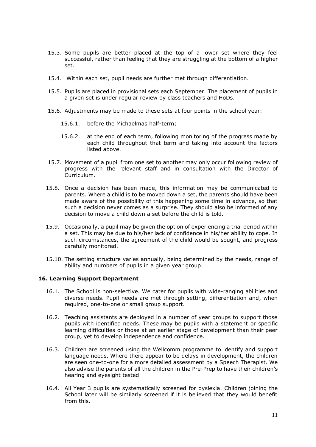- 15.3. Some pupils are better placed at the top of a lower set where they feel successful, rather than feeling that they are struggling at the bottom of a higher set.
- 15.4. Within each set, pupil needs are further met through differentiation.
- 15.5. Pupils are placed in provisional sets each September. The placement of pupils in a given set is under regular review by class teachers and HoDs.
- 15.6. Adjustments may be made to these sets at four points in the school year:
	- 15.6.1. before the Michaelmas half-term;
	- 15.6.2. at the end of each term, following monitoring of the progress made by each child throughout that term and taking into account the factors listed above.
- 15.7. Movement of a pupil from one set to another may only occur following review of progress with the relevant staff and in consultation with the Director of Curriculum.
- 15.8. Once a decision has been made, this information may be communicated to parents. Where a child is to be moved down a set, the parents should have been made aware of the possibility of this happening some time in advance, so that such a decision never comes as a surprise. They should also be informed of any decision to move a child down a set before the child is told.
- 15.9. Occasionally, a pupil may be given the option of experiencing a trial period within a set. This may be due to his/her lack of confidence in his/her ability to cope. In such circumstances, the agreement of the child would be sought, and progress carefully monitored.
- 15.10. The setting structure varies annually, being determined by the needs, range of ability and numbers of pupils in a given year group.

#### **16. Learning Support Department**

- 16.1. The School is non-selective. We cater for pupils with wide-ranging abilities and diverse needs. Pupil needs are met through setting, differentiation and, when required, one-to-one or small group support.
- 16.2. Teaching assistants are deployed in a number of year groups to support those pupils with identified needs. These may be pupils with a statement or specific learning difficulties or those at an earlier stage of development than their peer group, yet to develop independence and confidence.
- 16.3. Children are screened using the Wellcomm programme to identify and support language needs. Where there appear to be delays in development, the children are seen one-to-one for a more detailed assessment by a Speech Therapist. We also advise the parents of all the children in the Pre-Prep to have their children's hearing and eyesight tested.
- 16.4. All Year 3 pupils are systematically screened for dyslexia. Children joining the School later will be similarly screened if it is believed that they would benefit from this.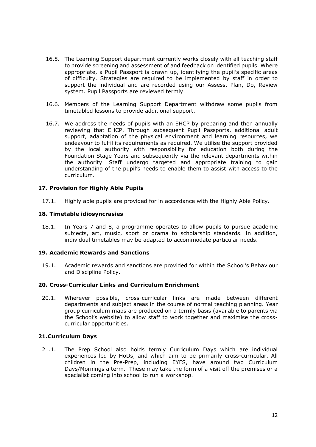- 16.5. The Learning Support department currently works closely with all teaching staff to provide screening and assessment of and feedback on identified pupils. Where appropriate, a Pupil Passport is drawn up, identifying the pupil's specific areas of difficulty. Strategies are required to be implemented by staff in order to support the individual and are recorded using our Assess, Plan, Do, Review system. Pupil Passports are reviewed termly.
- 16.6. Members of the Learning Support Department withdraw some pupils from timetabled lessons to provide additional support.
- 16.7. We address the needs of pupils with an EHCP by preparing and then annually reviewing that EHCP. Through subsequent Pupil Passports, additional adult support, adaptation of the physical environment and learning resources, we endeavour to fulfil its requirements as required. We utilise the support provided by the local authority with responsibility for education both during the Foundation Stage Years and subsequently via the relevant departments within the authority. Staff undergo targeted and appropriate training to gain understanding of the pupil's needs to enable them to assist with access to the curriculum.

#### **17. Provision for Highly Able Pupils**

17.1. Highly able pupils are provided for in accordance with the Highly Able Policy.

#### **18. Timetable idiosyncrasies**

18.1. In Years 7 and 8, a programme operates to allow pupils to pursue academic subjects, art, music, sport or drama to scholarship standards. In addition, individual timetables may be adapted to accommodate particular needs.

### **19. Academic Rewards and Sanctions**

19.1. Academic rewards and sanctions are provided for within the School's Behaviour and Discipline Policy.

#### **20. Cross-Curricular Links and Curriculum Enrichment**

20.1. Wherever possible, cross-curricular links are made between different departments and subject areas in the course of normal teaching planning. Year group curriculum maps are produced on a termly basis (available to parents via the School's website) to allow staff to work together and maximise the crosscurricular opportunities.

## **21.Curriculum Days**

21.1. The Prep School also holds termly Curriculum Days which are individual experiences led by HoDs, and which aim to be primarily cross-curricular. All children in the Pre-Prep, including EYFS, have around two Curriculum Days/Mornings a term. These may take the form of a visit off the premises or a specialist coming into school to run a workshop.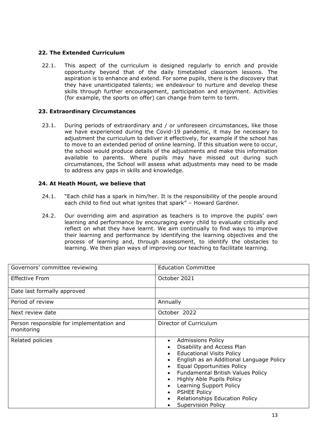# **22. The Extended Curriculum**

22.1. This aspect of the curriculum is designed regularly to enrich and provide opportunity beyond that of the daily timetabled classroom lessons. The aspiration is to enhance and extend. For some pupils, there is the discovery that they have unanticipated talents; we endeavour to nurture and develop these skills through further encouragement, participation and enjoyment. Activities (for example, the sports on offer) can change from term to term.

## **23. Extraordinary Circumstances**

23.1. During periods of extraordinary and / or unforeseen circumstances, like those we have experienced during the Covid-19 pandemic, it may be necessary to adjustment the curriculum to deliver it effectively, for example if the school has to move to an extended period of online learning. If this situation were to occur, the school would produce details of the adjustments and make this information available to parents. Where pupils may have missed out during such circumstances, the School will assess what adjustments may need to be made to address any gaps in skills and knowledge.

## **24. At Heath Mount, we believe that**

- 24.1. "Each child has a spark in him/her. It is the responsibility of the people around each child to find out what ignites that spark" – Howard Gardner.
- 24.2. Our overriding aim and aspiration as teachers is to improve the pupils' own learning and performance by encouraging every child to evaluate critically and reflect on what they have learnt. We aim continually to find ways to improve their learning and performance by identifying the learning objectives and the process of learning and, through assessment, to identify the obstacles to learning. We then plan ways of improving our teaching to facilitate learning.

| Governors' committee reviewing                          | <b>Education Committee</b>                                                                                                                                                                                                                                                                                                                                                  |
|---------------------------------------------------------|-----------------------------------------------------------------------------------------------------------------------------------------------------------------------------------------------------------------------------------------------------------------------------------------------------------------------------------------------------------------------------|
| <b>Effective From</b>                                   | October 2021                                                                                                                                                                                                                                                                                                                                                                |
| Date last formally approved                             |                                                                                                                                                                                                                                                                                                                                                                             |
| Period of review                                        | Annually                                                                                                                                                                                                                                                                                                                                                                    |
| Next review date                                        | October 2022                                                                                                                                                                                                                                                                                                                                                                |
| Person responsible for implementation and<br>monitoring | Director of Curriculum                                                                                                                                                                                                                                                                                                                                                      |
| Related policies                                        | <b>Admissions Policy</b><br>Disability and Access Plan<br><b>Educational Visits Policy</b><br>English as an Additional Language Policy<br><b>Equal Opportunities Policy</b><br>Fundamental British Values Policy<br>Highly Able Pupils Policy<br>Learning Support Policy<br>$\bullet$<br><b>PSHEE Policy</b><br>Relationships Education Policy<br><b>Supervision Policy</b> |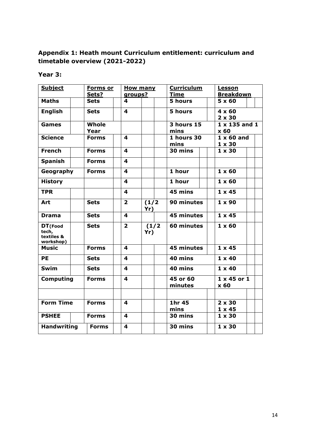# **Appendix 1: Heath mount Curriculum entitlement: curriculum and timetable overview (2021-2022)**

# **Year 3:**

| <b>Subject</b>                                               |  | Forms or<br>Sets?                       | groups?        | <b>Curriculum</b><br><b>How many</b><br><b>Time</b> |                    | Lesson<br><b>Breakdown</b>         |
|--------------------------------------------------------------|--|-----------------------------------------|----------------|-----------------------------------------------------|--------------------|------------------------------------|
| <b>Maths</b>                                                 |  | <b>Sets</b>                             | 4              |                                                     | 5 hours            | $5 \times 60$                      |
| <b>English</b>                                               |  | <b>Sets</b>                             | 4              |                                                     | 5 hours            | $4 \times 60$<br>$2 \times 30$     |
| <b>Games</b>                                                 |  | Whole<br>Year                           |                |                                                     | 3 hours 15<br>mins | $1 \times 135$ and $1$<br>x 60     |
| <b>Science</b>                                               |  | <b>Forms</b>                            | 4              |                                                     | 1 hours 30<br>mins | $1 \times 60$ and<br>$1 \times 30$ |
| <b>French</b>                                                |  | <b>Forms</b>                            | 4              |                                                     | 30 mins            | $1 \times 30$                      |
| <b>Spanish</b>                                               |  | <b>Forms</b>                            | 4              |                                                     |                    |                                    |
| Geography                                                    |  | <b>Forms</b>                            | 4              |                                                     | 1 hour             | $1 \times 60$                      |
| <b>History</b>                                               |  |                                         | 4              |                                                     | 1 hour             | $1 \times 60$                      |
| <b>TPR</b>                                                   |  |                                         | 4              |                                                     | 45 mins            | $1 \times 45$                      |
| Art                                                          |  | <b>Sets</b>                             | $\overline{2}$ | (1/2)<br>Yr)                                        | 90 minutes         | $1 \times 90$                      |
| <b>Drama</b>                                                 |  | <b>Sets</b>                             | 4              |                                                     | <b>45 minutes</b>  | $1 \times 45$                      |
| DT(Food<br>tech,<br>textiles &<br>workshop)                  |  | <b>Sets</b>                             | $\overline{2}$ | (1/2)<br>Yr)                                        | 60 minutes         | $1 \times 60$                      |
| <b>Music</b>                                                 |  | <b>Forms</b>                            | 4              |                                                     | <b>45 minutes</b>  | $1 \times 45$                      |
| <b>PE</b>                                                    |  | <b>Sets</b>                             | 4              |                                                     | 40 mins            | $1 \times 40$                      |
| <b>Swim</b>                                                  |  | <b>Sets</b>                             | 4              |                                                     | 40 mins            | $1 \times 40$                      |
| <b>Computing</b><br>45 or 60<br><b>Forms</b><br>4<br>minutes |  | $1 \times 45$ or $1$<br>x <sub>60</sub> |                |                                                     |                    |                                    |
|                                                              |  |                                         |                |                                                     |                    |                                    |
| <b>Form Time</b>                                             |  | <b>Forms</b>                            | 4              |                                                     | 1hr 45<br>mins     | $2 \times 30$<br>$1 \times 45$     |
| <b>PSHEE</b>                                                 |  | <b>Forms</b>                            | 4              |                                                     | 30 mins            | $1 \times 30$                      |
| <b>Handwriting</b>                                           |  | <b>Forms</b>                            | 4              |                                                     | 30 mins            | $1 \times 30$                      |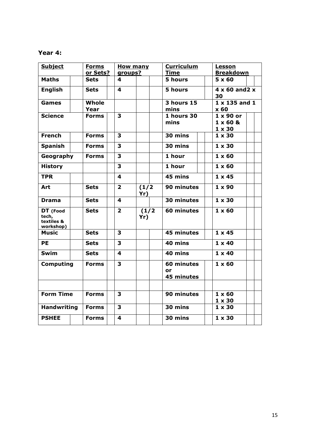# **Year 4:**

| <b>Subject</b>                               | <b>Forms</b> | <b>How many</b>         |              | <b>Curriculum</b>               |  | Lesson                             |  |  |
|----------------------------------------------|--------------|-------------------------|--------------|---------------------------------|--|------------------------------------|--|--|
|                                              | or Sets?     | groups?                 |              | <u>Time</u><br><b>Breakdown</b> |  |                                    |  |  |
| <b>Maths</b>                                 | Sets         | 4                       |              | 5 hours                         |  | $5 \times 60$                      |  |  |
| <b>English</b>                               | <b>Sets</b>  | 4                       |              | 5 hours                         |  | $4 \times 60$ and $2 \times$<br>30 |  |  |
| <b>Games</b>                                 | Whole        |                         |              | <b>3 hours 15</b>               |  | $1 \times 135$ and $1$             |  |  |
|                                              | Year         |                         |              | mins                            |  | x60                                |  |  |
| <b>Science</b>                               | <b>Forms</b> | 3                       |              | 1 hours 30                      |  | $1 \times 90$ or                   |  |  |
|                                              |              |                         |              | mins                            |  | $1 \times 60$ &                    |  |  |
|                                              |              |                         |              |                                 |  | $1 \times 30$                      |  |  |
| <b>French</b>                                | <b>Forms</b> | 3                       |              | 30 mins                         |  | $1 \times 30$                      |  |  |
| <b>Spanish</b>                               | Forms        | $\overline{\mathbf{3}}$ |              | $30 \text{ mins}$               |  | $1 \times 30$                      |  |  |
| Geography                                    | <b>Forms</b> | 3                       |              | 1 hour                          |  | $1 \times 60$                      |  |  |
| <b>History</b>                               |              | 3                       |              | 1 hour                          |  | $1 \times 60$                      |  |  |
| <b>TPR</b>                                   |              | 4                       |              | 45 mins                         |  | $1 \times 45$                      |  |  |
| Art                                          | <b>Sets</b>  | $\overline{2}$          | (1/2)<br>Yr) | 90 minutes                      |  | $1 \times 90$                      |  |  |
| <b>Drama</b>                                 | <b>Sets</b>  | 4                       |              | 30 minutes                      |  | $1 \times 30$                      |  |  |
| DT (Food<br>tech,<br>textiles &<br>workshop) | <b>Sets</b>  | $\overline{2}$          | (1/2)<br>Yr) | 60 minutes                      |  | $1 \times 60$                      |  |  |
| <b>Music</b>                                 | <b>Sets</b>  | 3                       |              | 45 minutes                      |  | $1 \times 45$                      |  |  |
| <b>PE</b>                                    | <b>Sets</b>  | 3                       |              | 40 mins                         |  | $1 \times 40$                      |  |  |
| <b>Swim</b>                                  | <b>Sets</b>  | 4                       |              | 40 mins                         |  | $1 \times 40$                      |  |  |
| <b>Computing</b>                             | <b>Forms</b> | 3                       |              | 60 minutes<br>or<br>45 minutes  |  | $1 \times 60$                      |  |  |
|                                              |              |                         |              |                                 |  |                                    |  |  |
| <b>Form Time</b>                             | <b>Forms</b> | 3                       |              | 90 minutes                      |  | $1 \times 60$                      |  |  |
|                                              |              |                         |              |                                 |  | $1 \times 30$                      |  |  |
| <b>Handwriting</b>                           | <b>Forms</b> | 3                       |              | 30 mins                         |  | $1 \times 30$                      |  |  |
| <b>PSHEE</b>                                 | <b>Forms</b> | $\overline{\mathbf{4}}$ |              | 30 mins                         |  | $1 \times 30$                      |  |  |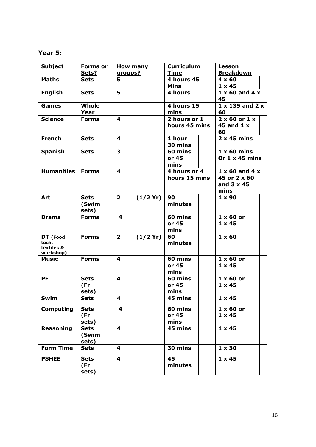# **Year 5:**

| <b>Subject</b>                                  | <b>Forms or</b>               |                | <b>How many</b> | <b>Curriculum</b>             | <b>Lesson</b>                                                             |
|-------------------------------------------------|-------------------------------|----------------|-----------------|-------------------------------|---------------------------------------------------------------------------|
|                                                 | Sets?                         | groups?        |                 | <b>Time</b>                   | <u>Breakdown</u>                                                          |
| <b>Maths</b>                                    | <b>Sets</b>                   | 5.             |                 | 4 hours 45                    | $4 \times 60$                                                             |
|                                                 |                               |                |                 | <b>Mins</b>                   | $1 \times 45$                                                             |
| <b>English</b>                                  | <b>Sets</b>                   | 5              |                 | 4 hours                       | $1 \times 60$ and $4 \times$<br>45                                        |
| <b>Games</b>                                    | Whole<br>Year                 |                |                 | 4 hours 15<br>mins            | $1 \times 135$ and $2 \times$<br>60                                       |
| <b>Science</b>                                  | <b>Forms</b>                  | 4              |                 | 2 hours or 1<br>hours 45 mins | $2 \times 60$ or $1 \times$<br>45 and $1 x$<br>60                         |
| <b>French</b>                                   | <b>Sets</b>                   | 4              |                 | 1 hour<br>30 mins             | $2 \times 45$ mins                                                        |
| <b>Spanish</b>                                  | <b>Sets</b>                   | 3              |                 | 60 mins<br>or 45<br>mins      | $1 \times 60$ mins<br>Or $1 \times 45$ mins                               |
| <b>Humanities</b>                               | <b>Forms</b>                  | 4              |                 | 4 hours or 4<br>hours 15 mins | $1 \times 60$ and $4 \times$<br>45 or 2 x 60<br>and $3 \times 45$<br>mins |
| Art                                             | <b>Sets</b><br>(Swim<br>sets) | $\overline{2}$ | (1/2 Yr)        | 90<br>minutes                 | $1 \times 90$                                                             |
| <b>Drama</b>                                    | <b>Forms</b>                  | 4              |                 | 60 mins<br>or 45<br>mins      | $1 \times 60$ or<br>$1 \times 45$                                         |
| DT (Food<br>tech,<br>textiles &<br>workshop)    | <b>Forms</b>                  | $\overline{2}$ | (1/2 Yr)        | 60<br>minutes                 | $1 \times 60$                                                             |
| <b>Music</b>                                    | <b>Forms</b>                  | 4              |                 | 60 mins<br>or 45<br>mins      | $1 \times 60$ or<br>$1 \times 45$                                         |
| <b>PE</b>                                       | <b>Sets</b><br>(Fr<br>sets)   | 4              |                 | 60 mins<br>or 45<br>mins      | $1 \times 60$ or<br>$1 \times 45$                                         |
| Swim                                            | <b>Sets</b>                   | 4              |                 | 45 mins                       | $1 \times 45$                                                             |
| <b>Computing</b><br><b>Sets</b><br>(Fr<br>sets) |                               | 4              |                 | 60 mins<br>or 45<br>mins      | $1 \times 60$ or<br>$1 \times 45$                                         |
| <b>Reasoning</b>                                | <b>Sets</b><br>(Swim<br>sets) | 4              |                 | 45 mins                       | $1 \times 45$                                                             |
| <b>Form Time</b>                                | <b>Sets</b>                   | 4              |                 | 30 mins                       | $1 \times 30$                                                             |
| <b>PSHEE</b>                                    | <b>Sets</b><br>(Fr<br>sets)   | 4              |                 | 45<br>minutes                 | $1 \times 45$                                                             |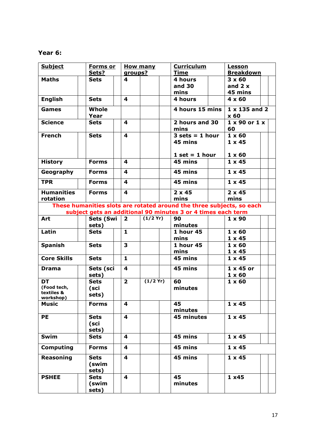# **Year 6:**

| <b>Subject</b>                         | <b>Forms</b> or<br>Sets? | groups?                 | <b>How many</b> | <b>Curriculum</b><br><b>Time</b>                                      | <u>Lesson</u><br><b>Breakdown</b> |
|----------------------------------------|--------------------------|-------------------------|-----------------|-----------------------------------------------------------------------|-----------------------------------|
|                                        |                          |                         |                 |                                                                       |                                   |
| <b>Maths</b>                           | Sets                     | 4                       |                 | 4 hours                                                               | $3 \times 60$                     |
|                                        |                          |                         |                 | and 30                                                                | and $2x$                          |
|                                        |                          |                         |                 | mins                                                                  | 45 mins                           |
| <b>English</b>                         | <b>Sets</b>              | 4                       |                 | 4 hours                                                               | $4 \times 60$                     |
| <b>Games</b>                           | Whole<br>Year            |                         |                 | 4 hours 15 mins                                                       | $1 \times 135$ and 2<br>x 60      |
| <b>Science</b>                         | <b>Sets</b>              | 4                       |                 | 2 hours and 30<br>mins                                                | $1 \times 90$ or $1 \times$<br>60 |
| <b>French</b>                          | <b>Sets</b>              | 4                       |                 | $3 \text{ sets} = 1 \text{ hour}$<br>45 mins                          | $1 \times 60$<br>$1 \times 45$    |
|                                        |                          |                         |                 | $1 set = 1 hour$                                                      | $1 \times 60$                     |
| <b>History</b>                         | <b>Forms</b>             | 4                       |                 | 45 mins                                                               | $1 \times 45$                     |
| Geography                              | <b>Forms</b>             | 4                       |                 | 45 mins                                                               | $1 \times 45$                     |
| <b>TPR</b>                             | <b>Forms</b>             | $\overline{\mathbf{4}}$ |                 | 45 mins                                                               | $1 \times 45$                     |
| <b>Humanities</b>                      | <b>Forms</b>             | 4                       |                 | $2 \times 45$                                                         | $2 \times 45$                     |
| rotation                               |                          |                         |                 | mins                                                                  | mins                              |
|                                        |                          |                         |                 | These humanities slots are rotated around the three subjects, so each |                                   |
|                                        |                          |                         |                 | subject gets an additional 90 minutes 3 or 4 times each term          |                                   |
| Art                                    | Sets (Swi                | $\overline{2}$          | (1/2 Yr)        | 90                                                                    | $1 \times 90$                     |
|                                        | sets)                    |                         |                 | minutes                                                               |                                   |
| Latin                                  | <b>Sets</b>              | $\mathbf{1}$            |                 | 1 hour 45                                                             | $1 \times 60$                     |
|                                        |                          |                         |                 | mins                                                                  | $1 \times 45$                     |
| <b>Spanish</b>                         | <b>Sets</b>              | $\overline{\mathbf{3}}$ |                 | <b>1 hour 45</b>                                                      | $1 \times 60$                     |
|                                        |                          |                         |                 |                                                                       |                                   |
|                                        |                          |                         |                 | mins                                                                  | $1 \times 45$                     |
| <b>Core Skills</b>                     | <b>Sets</b>              | $\mathbf{1}$            |                 | 45 mins                                                               | $1 \times 45$                     |
| <b>Drama</b>                           | Sets (sci                | 4                       |                 | 45 mins                                                               | $1 \times 45$ or                  |
|                                        | sets)                    |                         |                 |                                                                       | $1 \times 60$                     |
| <b>DT</b>                              | <b>Sets</b>              | $\overline{2}$          | $(1/2$ Yr)      | 60                                                                    | $1 \times 60$                     |
| (Food tech,<br>textiles &<br>workshop) | (sci<br>sets)            |                         |                 | minutes                                                               |                                   |
| <b>Music</b>                           | <b>Forms</b>             | 4                       |                 | 45<br>minutes                                                         | $1 \times 45$                     |
| <b>PE</b>                              | <b>Sets</b>              | 4                       |                 | 45 minutes                                                            | $1 \times 45$                     |
|                                        |                          |                         |                 |                                                                       |                                   |
|                                        | (sci                     |                         |                 |                                                                       |                                   |
|                                        | sets)                    |                         |                 |                                                                       |                                   |
| Swim                                   | <b>Sets</b>              | 4                       |                 | $45 \text{ mins}$                                                     | $1 \times 45$                     |
| <b>Computing</b>                       | <b>Forms</b>             | 4                       |                 | 45 mins                                                               | $1 \times 45$                     |
| Reasoning                              | <b>Sets</b>              | 4                       |                 | 45 mins                                                               | $1 \times 45$                     |
|                                        | (swim                    |                         |                 |                                                                       |                                   |
|                                        | sets)                    |                         |                 |                                                                       |                                   |
|                                        |                          | 4                       |                 | 45                                                                    |                                   |
| <b>PSHEE</b>                           | <b>Sets</b>              |                         |                 |                                                                       | 1x45                              |
|                                        | (swim                    |                         |                 | minutes                                                               |                                   |
|                                        | sets)                    |                         |                 |                                                                       |                                   |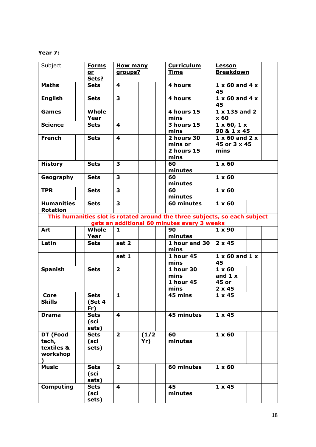# **Year 7:**

| Subject                                     | <b>Forms</b><br>or<br>Sets?  | <b>How many</b><br>groups? |              | <b>Curriculum</b><br><b>Time</b>                     | <b>Lesson</b><br><b>Breakdown</b>                                          |
|---------------------------------------------|------------------------------|----------------------------|--------------|------------------------------------------------------|----------------------------------------------------------------------------|
| <b>Maths</b>                                | <b>Sets</b>                  | 4                          |              | 4 hours                                              | $1 \times 60$ and $4 \times$<br>45                                         |
| <b>English</b>                              | <b>Sets</b>                  | 3                          |              | 4 hours                                              | $1 \times 60$ and $4 \times$<br>45                                         |
| Games                                       | <b>Whole</b><br>Year         |                            |              | 4 hours 15<br>mins                                   | $1 \times 135$ and 2<br>x 60                                               |
| <b>Science</b>                              | <b>Sets</b>                  | 4                          |              | <b>3 hours 15</b><br>mins                            | $1 \times 60, 1 \times$<br>90 & 1 x 45                                     |
| <b>French</b>                               | <b>Sets</b>                  | 4                          |              | 2 hours 30<br>mins or<br>2 hours 15<br>mins          | $\overline{1}$ x 60 and 2 x<br>45 or 3 x 45<br>mins                        |
| <b>History</b>                              | <b>Sets</b>                  | 3                          |              | 60<br>minutes                                        | $1 \times 60$                                                              |
| Geography                                   | <b>Sets</b>                  | 3                          |              | 60<br>minutes                                        | $1 \times 60$                                                              |
| <b>TPR</b>                                  | <b>Sets</b>                  | 3                          |              | 60<br>minutes                                        | $1 \times 60$                                                              |
| <b>Humanities</b><br><b>Rotation</b>        | <b>Sets</b>                  | $\overline{\mathbf{3}}$    |              | 60 minutes                                           | $1 \times 60$                                                              |
|                                             |                              |                            |              | gets an additional 60 minutes every 3 weeks          | This humanities slot is rotated around the three subjects, so each subject |
| Art                                         | Whole                        | $\mathbf{1}$               |              | 90                                                   | $1 \times 90$                                                              |
|                                             | Year                         |                            |              | minutes                                              |                                                                            |
| Latin                                       | <b>Sets</b>                  | set 2                      |              | 1 hour and 30<br>mins                                | $2 \times 45$                                                              |
|                                             |                              | set 1                      |              | 1 hour 45<br>mins                                    | $1 \times 60$ and $1 \times$<br>45                                         |
| <b>Spanish</b>                              | <b>Sets</b>                  | $\overline{2}$             |              | <b>1 hour 30</b><br>mins<br><b>1 hour 45</b><br>mins | $1 \times 60$<br>and $1 x$<br>45 or<br>$2 \times 45$                       |
| <b>Core</b><br><b>Skills</b>                | <b>Sets</b><br>(Set 4<br>Fr) | $\mathbf{1}$               |              | 45 mins                                              | $1 \times 45$                                                              |
| <b>Drama</b>                                | <b>Sets</b><br>(sci<br>sets) | $\overline{\mathbf{4}}$    |              | 45 minutes                                           | $1 \times 45$                                                              |
| DT (Food<br>tech,<br>textiles &<br>workshop | <b>Sets</b><br>(sci<br>sets) | $\overline{2}$             | (1/2)<br>Yr) | 60<br>minutes                                        | $1 \times 60$                                                              |
| <b>Music</b>                                | <b>Sets</b><br>(sci<br>sets) | $\overline{2}$             |              | 60 minutes                                           | $1 \times 60$                                                              |
| <b>Computing</b>                            | <b>Sets</b><br>(sci<br>sets) | 4                          |              | 45<br>minutes                                        | $1 \times 45$                                                              |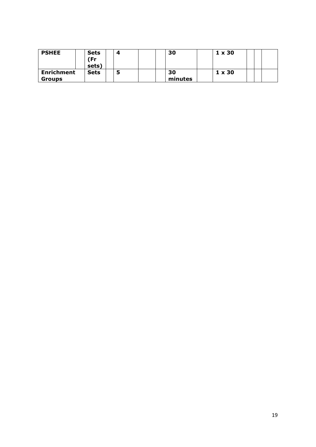| <b>PSHEE</b>                       | <b>Sets</b><br>Fr)<br>sets) | 4 | 30            | $1 \times 30$ |  |  |
|------------------------------------|-----------------------------|---|---------------|---------------|--|--|
| <b>Enrichment</b><br><b>Groups</b> | <b>Sets</b>                 | э | 30<br>minutes | $1 \times 30$ |  |  |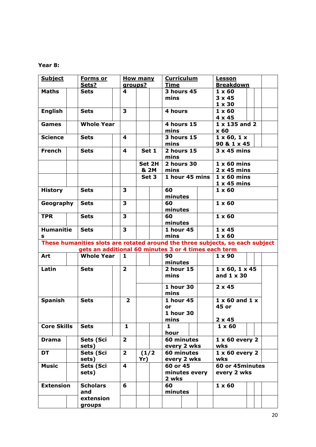## **Year 8:**

| <b>Subject</b>     | <b>Forms or</b>                                                               |                         | <b>How many</b> | <b>Curriculum</b><br>Lesson |                |                               |  |
|--------------------|-------------------------------------------------------------------------------|-------------------------|-----------------|-----------------------------|----------------|-------------------------------|--|
|                    | Sets?                                                                         | groups?                 |                 | <b>Time</b>                 |                | <b>Breakdown</b>              |  |
| <b>Maths</b>       | <b>Sets</b>                                                                   | 4                       |                 | 3 hours 45                  |                | $1 \times 60$                 |  |
|                    |                                                                               |                         |                 | mins                        |                | $3 \times 45$                 |  |
|                    |                                                                               |                         |                 |                             |                | $1 \times 30$                 |  |
| <b>English</b>     | <b>Sets</b>                                                                   | 3                       |                 | 4 hours                     |                | $1 \times 60$                 |  |
|                    |                                                                               |                         |                 |                             |                | $4 \times 45$                 |  |
| <b>Games</b>       | <b>Whole Year</b>                                                             |                         |                 | 4 hours 15                  |                | $1 \times 135$ and 2          |  |
|                    |                                                                               |                         |                 | mins                        |                | x <sub>60</sub>               |  |
| <b>Science</b>     | <b>Sets</b>                                                                   | 4                       |                 | <b>3 hours 15</b>           |                | $1 \times 60, 1 \times$       |  |
|                    |                                                                               |                         |                 | mins                        |                | 90 & 1 x 45                   |  |
| <b>French</b>      | <b>Sets</b>                                                                   | 4                       | Set 1           | 2 hours 15                  |                | $3x45$ mins                   |  |
|                    |                                                                               |                         |                 | mins                        |                |                               |  |
|                    |                                                                               |                         | Set 2H          | 2 hours 30                  |                | $1 \times 60$ mins            |  |
|                    |                                                                               |                         | & 2M            | mins                        |                | $2 \times 45$ mins            |  |
|                    |                                                                               |                         |                 |                             |                |                               |  |
|                    |                                                                               |                         | Set 3           |                             | 1 hour 45 mins | $1 \times 60$ mins            |  |
|                    |                                                                               |                         |                 |                             |                | $1 \times 45$ mins            |  |
| <b>History</b>     | <b>Sets</b>                                                                   | 3                       |                 | 60                          |                | $1 \times 60$                 |  |
|                    |                                                                               |                         |                 | minutes                     |                |                               |  |
| Geography          | <b>Sets</b>                                                                   | 3                       |                 | 60                          |                | $1 \times 60$                 |  |
|                    |                                                                               |                         |                 | minutes                     |                |                               |  |
| <b>TPR</b>         | <b>Sets</b>                                                                   | 3                       |                 | 60                          |                | $1 \times 60$                 |  |
|                    |                                                                               |                         |                 | minutes                     |                |                               |  |
| <b>Humanitie</b>   | <b>Sets</b>                                                                   | 3                       |                 | 1 hour 45                   |                | $1 \times 45$                 |  |
| s                  |                                                                               |                         |                 | mins                        |                | $1 \times 60$                 |  |
|                    | These humanities slots are rotated around the three subjects, so each subject |                         |                 |                             |                |                               |  |
|                    | gets an additional 60 minutes 3 or 4 times each term                          |                         |                 |                             |                |                               |  |
| Art                | <b>Whole Year</b>                                                             | 1                       |                 | 90                          |                | $1 \times 90$                 |  |
|                    |                                                                               |                         |                 | minutes                     |                |                               |  |
| Latin              | <b>Sets</b>                                                                   | $\overline{2}$          |                 | 2 hour 15                   |                | $1 \times 60$ , $1 \times 45$ |  |
|                    |                                                                               |                         |                 | mins                        |                | and $1 \times 30$             |  |
|                    |                                                                               |                         |                 |                             |                |                               |  |
|                    |                                                                               |                         |                 | 1 hour 30                   |                | $2 \times 45$                 |  |
|                    |                                                                               |                         |                 | mins                        |                |                               |  |
| <b>Spanish</b>     | <b>Sets</b>                                                                   | $\overline{2}$          |                 | 1 hour 45                   |                | $1 \times 60$ and $1 \times$  |  |
|                    |                                                                               |                         |                 | or                          |                | 45 or                         |  |
|                    |                                                                               |                         |                 | 1 hour 30                   |                |                               |  |
|                    |                                                                               |                         |                 | mins                        |                | $2 \times 45$                 |  |
| <b>Core Skills</b> | <b>Sets</b>                                                                   | $\mathbf{1}$            |                 | 1                           |                | $1 \times 60$                 |  |
|                    |                                                                               |                         |                 | hour                        |                |                               |  |
| <b>Drama</b>       | Sets (Sci                                                                     | $\overline{2}$          |                 | 60 minutes                  |                | $1 \times 60$ every 2         |  |
|                    | sets)                                                                         |                         |                 | every 2 wks                 |                | wks                           |  |
| DT                 | Sets (Sci                                                                     | $\overline{2}$          | (1/2)           | 60 minutes                  |                | $1 \times 60$ every 2         |  |
|                    | sets)                                                                         |                         | Yr)             | every 2 wks                 |                | wks                           |  |
| <b>Music</b>       | Sets (Sci                                                                     | $\overline{\mathbf{4}}$ |                 | 60 or 45                    |                | 60 or 45minutes               |  |
|                    | sets)                                                                         |                         |                 |                             | minutes every  | every 2 wks                   |  |
|                    |                                                                               |                         |                 | 2 wks                       |                |                               |  |
| <b>Extension</b>   | <b>Scholars</b>                                                               | 6                       |                 | 60                          |                | $1 \times 60$                 |  |
|                    |                                                                               |                         |                 |                             |                |                               |  |
|                    |                                                                               |                         |                 |                             |                |                               |  |
|                    | and                                                                           |                         |                 | minutes                     |                |                               |  |
|                    | extension<br>groups                                                           |                         |                 |                             |                |                               |  |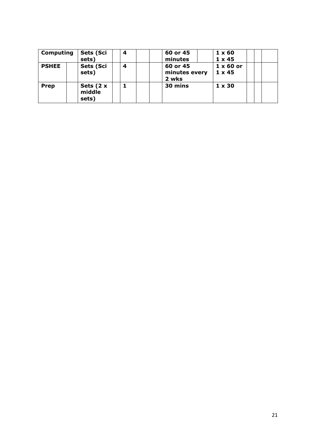| <b>Computing</b> | Sets (Sci<br>sets)              | 4 | 60 or 45<br>minutes                | $1 \times 60$<br>$1 \times 45$    |  |
|------------------|---------------------------------|---|------------------------------------|-----------------------------------|--|
| <b>PSHEE</b>     | Sets (Sci<br>sets)              | 4 | 60 or 45<br>minutes every<br>2 wks | $1 \times 60$ or<br>$1 \times 45$ |  |
| Prep             | Sets $(2 x)$<br>middle<br>sets) |   | 30 mins                            | $1 \times 30$                     |  |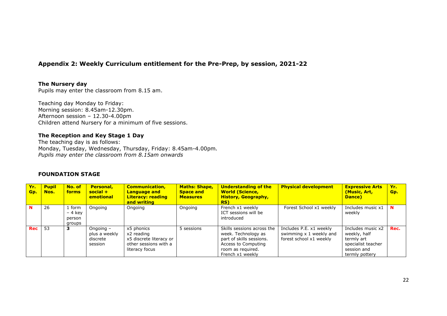# **Appendix 2: Weekly Curriculum entitlement for the Pre-Prep, by session, 2021-22**

#### **The Nursery day**

Pupils may enter the classroom from 8.15 am.

Teaching day Monday to Friday: Morning session: 8.45am-12.30pm. Afternoon session – 12.30-4.00pm Children attend Nursery for a minimum of five sessions.

#### **The Reception and Key Stage 1 Day**

The teaching day is as follows: Monday, Tuesday, Wednesday, Thursday, Friday: 8.45am-4.00pm*. Pupils may enter the classroom from 8.15am onwards* 

#### **FOUNDATION STAGE**

| Yr.<br>Gp. | <b>Pupil</b><br>Nos. | No. of<br>forms                     | <b>Personal,</b><br>$social +$<br>emotional       | <b>Communication,</b><br><b>Language and</b><br><b>Literacy: reading</b><br>and writing        | <b>Maths: Shape,</b><br><b>Space and</b><br><b>Measures</b> | <b>Understanding of the</b><br><b>World (Science,</b><br><b>History, Geography,</b><br>RS)                                                    | <b>Physical development</b>                                                   | <b>Expressive Arts</b><br>(Music, Art,<br>Dance)                                                       | Yr.<br>Gp. |
|------------|----------------------|-------------------------------------|---------------------------------------------------|------------------------------------------------------------------------------------------------|-------------------------------------------------------------|-----------------------------------------------------------------------------------------------------------------------------------------------|-------------------------------------------------------------------------------|--------------------------------------------------------------------------------------------------------|------------|
| N          | 26                   | form<br>– 4 key<br>person<br>groups | Ongoing                                           | Ongoing                                                                                        | Ongoing                                                     | French x1 weekly<br>ICT sessions will be<br>introduced                                                                                        | Forest School x1 weekly                                                       | Includes music x1<br>weekly                                                                            | N          |
| Rec        | 53                   | 3                                   | Ongoing -<br>plus a weekly<br>discrete<br>session | x5 phonics<br>x2 reading<br>x5 discrete literacy or<br>other sessions with a<br>literacy focus | 5 sessions                                                  | Skills sessions across the<br>week. Technology as<br>part of skills sessions.<br>Access to Computing<br>room as required.<br>French x1 weekly | Includes P.E. x1 weekly<br>swimming x 1 weekly and<br>forest school x1 weekly | Includes music x2<br>weekly, half<br>termly art<br>specialist teacher<br>session and<br>termly pottery | Rec.       |